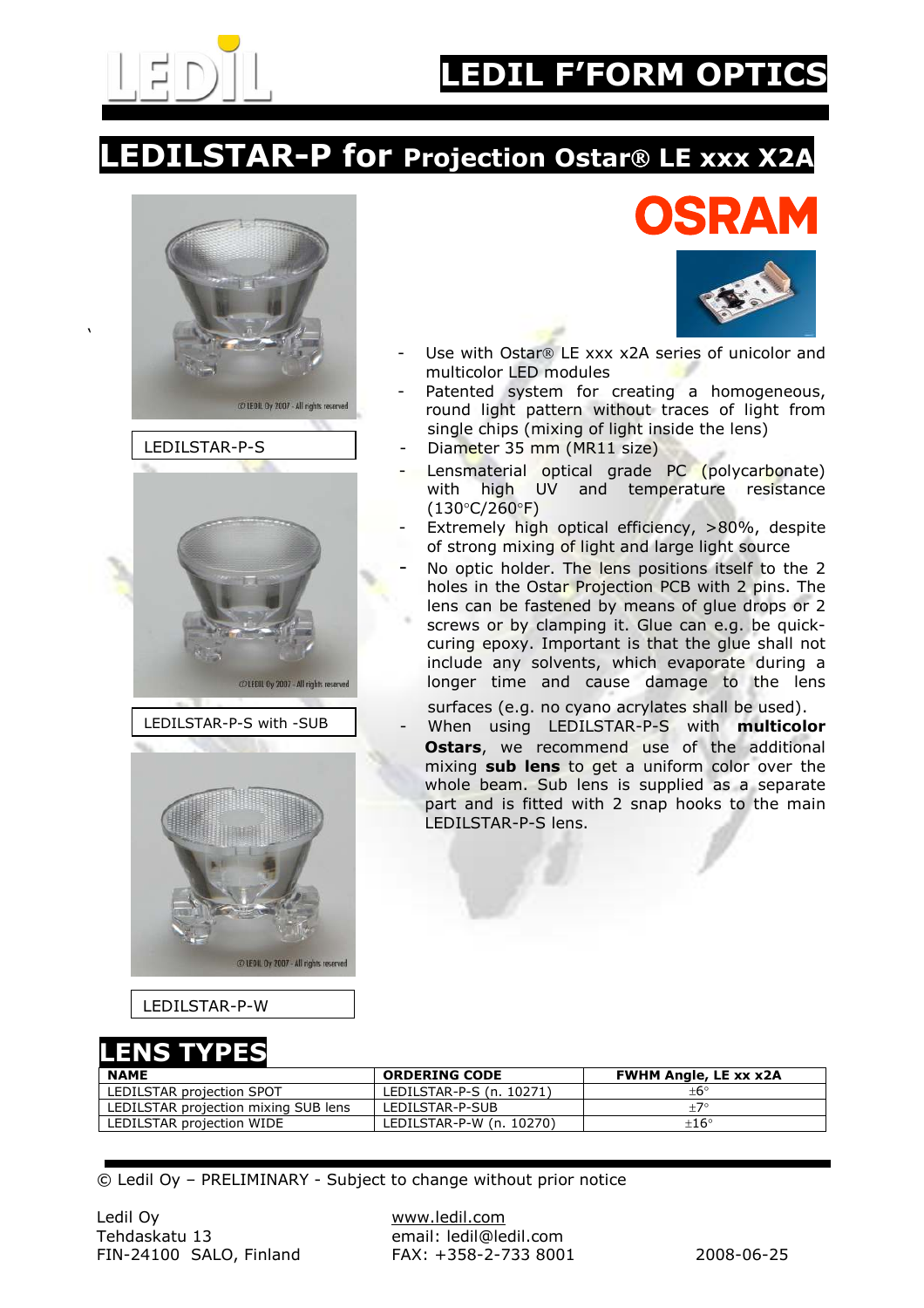

'

## **EDIL F'FORM OPTIC**

## **EDILSTAR-P for Projection Ostar® LE xxx X2A**







@LEDIL Oy 2007 - All rights reserved

LEDILSTAR-P-W

ISD.



- Use with Ostar $\Omega$  LE xxx x2A series of unicolor and multicolor LED modules
- Patented system for creating a homogeneous, round light pattern without traces of light from single chips (mixing of light inside the lens)
- Diameter 35 mm (MR11 size)
- Lensmaterial optical grade PC (polycarbonate) with high UV and temperature resistance (130°C/260°F)
- Extremely high optical efficiency, >80%, despite of strong mixing of light and large light source
- No optic holder. The lens positions itself to the 2 holes in the Ostar Projection PCB with 2 pins. The lens can be fastened by means of glue drops or 2 screws or by clamping it. Glue can e.g. be quickcuring epoxy. Important is that the glue shall not include any solvents, which evaporate during a longer time and cause damage to the lens
- surfaces (e.g. no cyano acrylates shall be used). When using LEDILSTAR-P-S with multicolor
	- Ostars, we recommend use of the additional mixing sub lens to get a uniform color over the whole beam. Sub lens is supplied as a separate part and is fitted with 2 snap hooks to the main LEDILSTAR-P-S lens.

LENS TYPES

| .                                    |                          |                              |
|--------------------------------------|--------------------------|------------------------------|
| <b>NAME</b>                          | <b>ORDERING CODE</b>     | <b>FWHM Angle, LE xx x2A</b> |
| LEDILSTAR projection SPOT            | LEDILSTAR-P-S (n. 10271) | +6°                          |
| LEDILSTAR projection mixing SUB lens | LEDILSTAR-P-SUB          | $+7^{\circ}$                 |
| LEDILSTAR projection WIDE            | LEDILSTAR-P-W (n. 10270) | $+16^\circ$                  |

© Ledil Oy – PRELIMINARY - Subject to change without prior notice